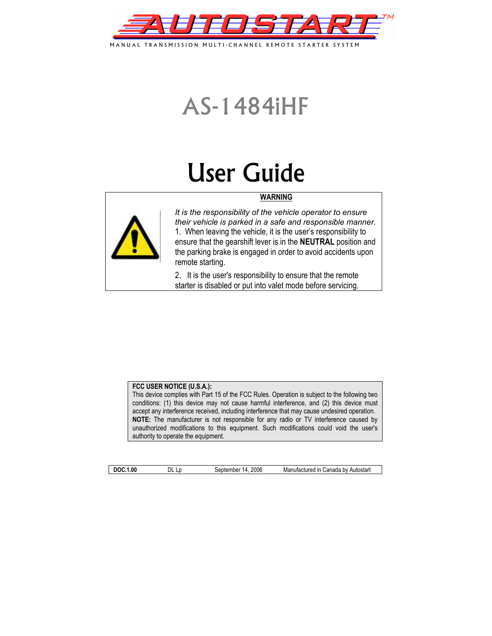

MANUAL TRANSMISSION MULTI-CHANNEL REMOTE STARTER SYSTEM

# AS-1484iHF

# User Guide

### **WARNING**



*It is the responsibility of the vehicle operator to ensure their vehicle is parked in a safe and responsible manner.*  1. When leaving the vehicle, it is the user's responsibility to ensure that the gearshift lever is in the **NEUTRAL** position and the parking brake is engaged in order to avoid accidents upon remote starting.

2. It is the user's responsibility to ensure that the remote starter is disabled or put into valet mode before servicing.

#### **FCC USER NOTICE (U.S.A.):**

This device complies with Part 15 of the FCC Rules. Operation is subject to the following two conditions: (1) this device may not cause harmful interference, and (2) this device must accept any interference received, including interference that may cause undesired operation. **NOTE:** The manufacturer is not responsible for any radio or TV interference caused by unauthorized modifications to this equipment. Such modifications could void the user's authority to operate the equipment.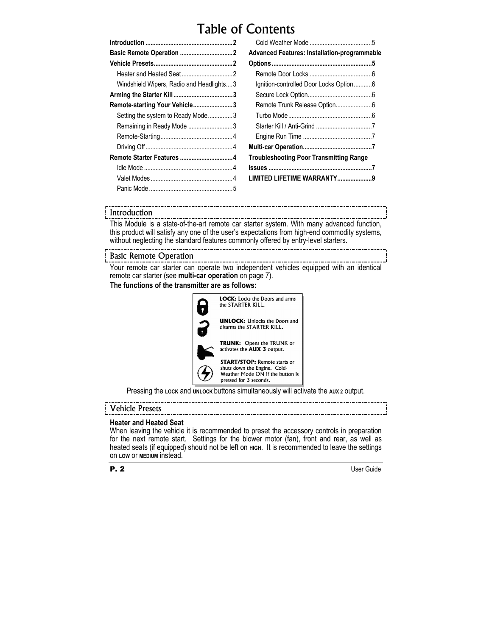# Table of Contents

| Windshield Wipers, Radio and Headlights3 |  |
|------------------------------------------|--|
|                                          |  |
| Remote-starting Your Vehicle3            |  |
| Setting the system to Ready Mode3        |  |
| Remaining in Ready Mode 3                |  |
|                                          |  |
|                                          |  |
| Remote Starter Features 4                |  |
|                                          |  |
|                                          |  |
|                                          |  |
|                                          |  |

| Advanced Features: Installation-programmable |  |
|----------------------------------------------|--|
|                                              |  |
|                                              |  |
|                                              |  |
| Ignition-controlled Door Locks Option6       |  |
|                                              |  |
|                                              |  |
|                                              |  |
|                                              |  |
|                                              |  |
|                                              |  |
| Troubleshooting Poor Transmitting Range      |  |
|                                              |  |
| LIMITED LIFETIME WARRANTY9                   |  |

#### Introduction

This Module is a state-of-the-art remote car starter system. With many advanced function, this product will satisfy any one of the user's expectations from high-end commodity systems, without neglecting the standard features commonly offered by entry-level starters.

#### Basic Remote Operation

Your remote car starter can operate two independent vehicles equipped with an identical remote car starter (see **multi-car operation** on page 7).

#### **The functions of the transmitter are as follows:**



Pressing the **LOCK** and **UNLOCK** buttons simultaneously will activate the **AUX 2** output.

# Vehicle Presets

#### **Heater and Heated Seat**

When leaving the vehicle it is recommended to preset the accessory controls in preparation for the next remote start. Settings for the blower motor (fan), front and rear, as well as heated seats (if equipped) should not be left on **HIGH.** It is recommended to leave the settings on **LOW** or **MEDIUM** instead.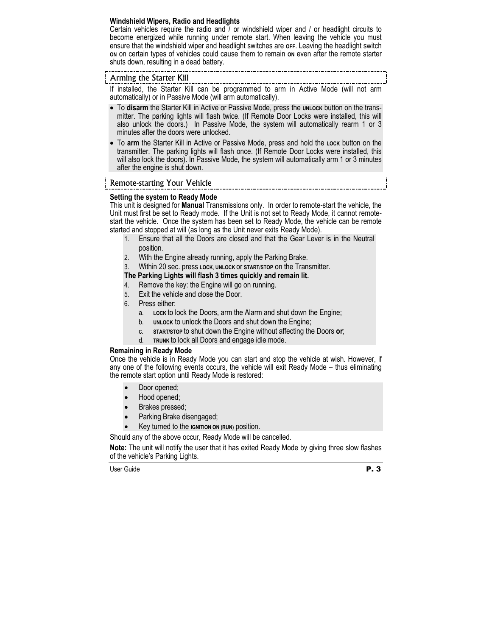#### **Windshield Wipers, Radio and Headlights**

Certain vehicles require the radio and / or windshield wiper and / or headlight circuits to become energized while running under remote start. When leaving the vehicle you must ensure that the windshield wiper and headlight switches are **OFF**. Leaving the headlight switch **ON** on certain types of vehicles could cause them to remain **ON** even after the remote starter shuts down, resulting in a dead battery.

#### Arming the Starter Kill

If installed, the Starter Kill can be programmed to arm in Active Mode (will not arm automatically) or in Passive Mode (will arm automatically).

- To **disarm** the Starter Kill in Active or Passive Mode, press the **UNLOCK** button on the transmitter. The parking lights will flash twice. (If Remote Door Locks were installed, this will also unlock the doors.) In Passive Mode, the system will automatically rearm 1 or 3 minutes after the doors were unlocked.
- To **arm** the Starter Kill in Active or Passive Mode, press and hold the **LOCK** button on the transmitter. The parking lights will flash once. (If Remote Door Locks were installed, this will also lock the doors). In Passive Mode, the system will automatically arm 1 or 3 minutes after the engine is shut down.

#### Remote-starting Your Vehicle

#### **Setting the system to Ready Mode**

This unit is designed for **Manual** Transmissions only. In order to remote-start the vehicle, the Unit must first be set to Ready mode. If the Unit is not set to Ready Mode, it cannot remotestart the vehicle. Once the system has been set to Ready Mode, the vehicle can be remote started and stopped at will (as long as the Unit never exits Ready Mode).

- 1. Ensure that all the Doors are closed and that the Gear Lever is in the Neutral position.
- 2. With the Engine already running, apply the Parking Brake.
- 3. Within 20 sec. press **LOCK**, **UNLOCK** or **START/STOP** on the Transmitter.

#### **The Parking Lights will flash 3 times quickly and remain lit.**

- 4. Remove the key: the Engine will go on running.
- 5. Exit the vehicle and close the Door.
- 6. Press either:
	- a. **LOCK** to lock the Doors, arm the Alarm and shut down the Engine;
	- b. **UNLOCK** to unlock the Doors and shut down the Engine;
	- c. **START/STOP** to shut down the Engine without affecting the Doors **or**;
	- d. **TRUNK** to lock all Doors and engage idle mode.

#### **Remaining in Ready Mode**

Once the vehicle is in Ready Mode you can start and stop the vehicle at wish. However, if any one of the following events occurs, the vehicle will exit Ready Mode – thus eliminating the remote start option until Ready Mode is restored:

- Door opened:
- Hood opened;
- Brakes pressed;
- Parking Brake disengaged;
- Key turned to the **IGNITION ON (RUN)** position.

Should any of the above occur, Ready Mode will be cancelled.

**Note:** The unit will notify the user that it has exited Ready Mode by giving three slow flashes of the vehicle's Parking Lights.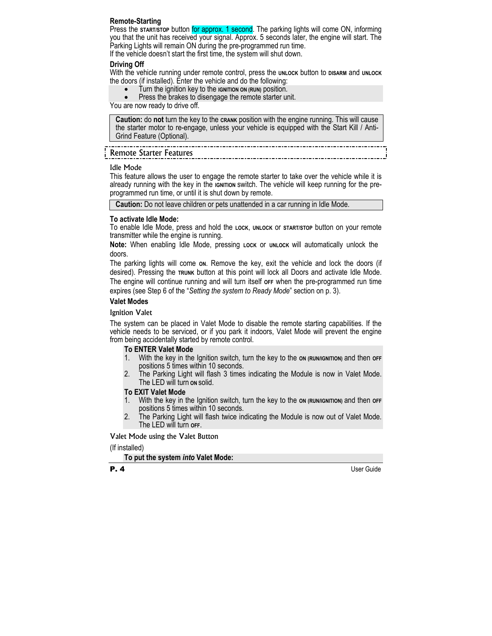#### **Remote-Starting**

Press the **START/STOP** button for approx. 1 second. The parking lights will come ON, informing you that the unit has received your signal. Approx. 5 seconds later, the engine will start. The Parking Lights will remain ON during the pre-programmed run time.

If the vehicle doesn't start the first time, the system will shut down.

#### **Driving Off**

With the vehicle running under remote control, press the **UNLOCK** button to **DISARM** and **UNLOCK** the doors (if installed). Enter the vehicle and do the following:

- Turn the ignition key to the **IGNITION ON (RUN)** position.
- Press the brakes to disengage the remote starter unit.

You are now ready to drive off.

**Caution:** do **not** turn the key to the **CRANK** position with the engine running. This will cause the starter motor to re-engage, unless your vehicle is equipped with the Start Kill / Anti-Grind Feature (Optional).

### Remote Starter Features

#### Idle Mode

This feature allows the user to engage the remote starter to take over the vehicle while it is already running with the key in the **IGNITION** switch. The vehicle will keep running for the preprogrammed run time, or until it is shut down by remote.

**Caution:** Do not leave children or pets unattended in a car running in Idle Mode.

#### **To activate Idle Mode:**

To enable Idle Mode, press and hold the **LOCK**, **UNLOCK** or **START/STOP** button on your remote transmitter while the engine is running.

**Note:** When enabling Idle Mode, pressing **LOCK** or **UNLOCK** will automatically unlock the doors.

The parking lights will come **ON**. Remove the key, exit the vehicle and lock the doors (if desired). Pressing the **TRUNK** button at this point will lock all Doors and activate Idle Mode. The engine will continue running and will turn itself **OFF** when the pre-programmed run time expires (see Step 6 of the "*Setting the system to Ready Mode*" section on p. 3).

#### **Valet Modes**

#### Ignition Valet

The system can be placed in Valet Mode to disable the remote starting capabilities. If the vehicle needs to be serviced, or if you park it indoors, Valet Mode will prevent the engine from being accidentally started by remote control.

#### **To ENTER Valet Mode**

- 1. With the key in the Ignition switch, turn the key to the on (RUN/IGNITION) and then off positions 5 times within 10 seconds.
- 2. The Parking Light will flash 3 times indicating the Module is now in Valet Mode. The LED will turn **ON** solid.

#### **To EXIT Valet Mode**

- 1. With the key in the Ignition switch, turn the key to the **ON (RUN/IGNITION)** and then **OFF**  positions 5 times within 10 seconds.
- 2. The Parking Light will flash twice indicating the Module is now out of Valet Mode. The LED will turn **OFF**.

#### Valet Mode using the Valet Button

(If installed)

#### **To put the system** *into* **Valet Mode:**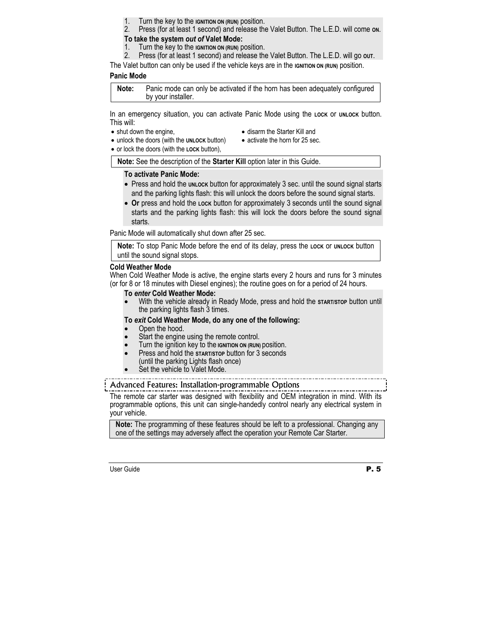- 1. Turn the key to the **IGNITION ON (RUN)** position.<br>2. Press (for at least 1 second) and release the
- 2. Press (for at least 1 second) and release the Valet Button. The L.E.D. will come **ON**.

#### **To take the system** *out of* **Valet Mode:**

- 1. Turn the key to the **IGNITION ON (RUN)** position.
- 2. Press (for at least 1 second) and release the Valet Button. The L.E.D. will go **OUT**.

The Valet button can only be used if the vehicle keys are in the **IGNITION ON (RUN)** position.

#### **Panic Mode**

**Note:** Panic mode can only be activated if the horn has been adequately configured by your installer.

In an emergency situation, you can activate Panic Mode using the **LOCK** or **UNLOCK** button. This will:

• shut down the engine,

- disarm the Starter Kill and
- unlock the doors (with the **UNLOCK** button)
- activate the horn for 25 sec.
- or lock the doors (with the **LOCK** button),

**Note:** See the description of the **Starter Kill** option later in this Guide.

#### **To activate Panic Mode:**

- Press and hold the **UNLOCK** button for approximately 3 sec. until the sound signal starts and the parking lights flash: this will unlock the doors before the sound signal starts.
- Or press and hold the Lock button for approximately 3 seconds until the sound signal starts and the parking lights flash: this will lock the doors before the sound signal starts.

Panic Mode will automatically shut down after 25 sec.

**Note:** To stop Panic Mode before the end of its delay, press the **LOCK** or **UNLOCK** button until the sound signal stops.

#### **Cold Weather Mode**

When Cold Weather Mode is active, the engine starts every 2 hours and runs for 3 minutes (or for 8 or 18 minutes with Diesel engines); the routine goes on for a period of 24 hours.

#### **To** *enter* **Cold Weather Mode:**

• With the vehicle already in Ready Mode, press and hold the **START/STOP** button until the parking lights flash 3 times.

#### **To** *exit* **Cold Weather Mode, do any one of the following:**

- Open the hood.
- Start the engine using the remote control.
- Turn the ignition key to the **IGNITION ON (RUN)** position.
- Press and hold the **START/STOP** button for 3 seconds (until the parking Lights flash once)
- Set the vehicle to Valet Mode.

Advanced Features: Installation-programmable Options

The remote car starter was designed with flexibility and OEM integration in mind. With its programmable options, this unit can single-handedly control nearly any electrical system in your vehicle.

**Note:** The programming of these features should be left to a professional. Changing any one of the settings may adversely affect the operation your Remote Car Starter.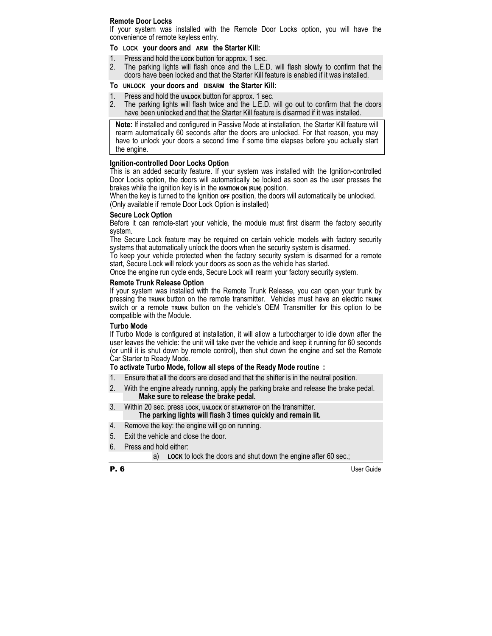#### **Remote Door Locks**

If your system was installed with the Remote Door Locks option, you will have the convenience of remote keyless entry.

#### **To LOCK your doors and ARM the Starter Kill:**

- 1. Press and hold the **LOCK** button for approx. 1 sec.
- 2. The parking lights will flash once and the L.E.D. will flash slowly to confirm that the doors have been locked and that the Starter Kill feature is enabled if it was installed.

#### **To UNLOCK your doors and DISARM the Starter Kill:**

- 1. Press and hold the **UNLOCK** button for approx. 1 sec.<br>2. The parking lights will flash twice and the L.E.D. v
- 2. The parking lights will flash twice and the L.E.D. will go out to confirm that the doors have been unlocked and that the Starter Kill feature is disarmed if it was installed.

**Note:** If installed and configured in Passive Mode at installation, the Starter Kill feature will rearm automatically 60 seconds after the doors are unlocked. For that reason, you may have to unlock your doors a second time if some time elapses before you actually start the engine.

#### **Ignition-controlled Door Locks Option**

This is an added security feature. If your system was installed with the Ignition-controlled Door Locks option, the doors will automatically be locked as soon as the user presses the brakes while the ignition key is in the **IGNITION ON (RUN)** position.

When the key is turned to the Ignition **OFF** position, the doors will automatically be unlocked. (Only available if remote Door Lock Option is installed)

#### **Secure Lock Option**

Before it can remote-start your vehicle, the module must first disarm the factory security system.

The Secure Lock feature may be required on certain vehicle models with factory security systems that automatically unlock the doors when the security system is disarmed.

To keep your vehicle protected when the factory security system is disarmed for a remote start, Secure Lock will relock your doors as soon as the vehicle has started.

Once the engine run cycle ends, Secure Lock will rearm your factory security system.

#### **Remote Trunk Release Option**

If your system was installed with the Remote Trunk Release, you can open your trunk by pressing the **TRUNK** button on the remote transmitter. Vehicles must have an electric **TRUNK**  switch or a remote **TRUNK** button on the vehicle's OEM Transmitter for this option to be compatible with the Module.

#### **Turbo Mode**

If Turbo Mode is configured at installation, it will allow a turbocharger to idle down after the user leaves the vehicle: the unit will take over the vehicle and keep it running for 60 seconds (or until it is shut down by remote control), then shut down the engine and set the Remote Car Starter to Ready Mode.

#### **To activate Turbo Mode, follow all steps of the Ready Mode routine :**

- 1. Ensure that all the doors are closed and that the shifter is in the neutral position.
- 2. With the engine already running, apply the parking brake and release the brake pedal. **Make sure to release the brake pedal.**
- 3. Within 20 sec. press **LOCK**, **UNLOCK** or **START/STOP** on the transmitter. **The parking lights will flash 3 times quickly and remain lit.**
- 4. Remove the key: the engine will go on running.
- 5. Exit the vehicle and close the door.
- 6. Press and hold either:
	- a) **LOCK** to lock the doors and shut down the engine after 60 sec.;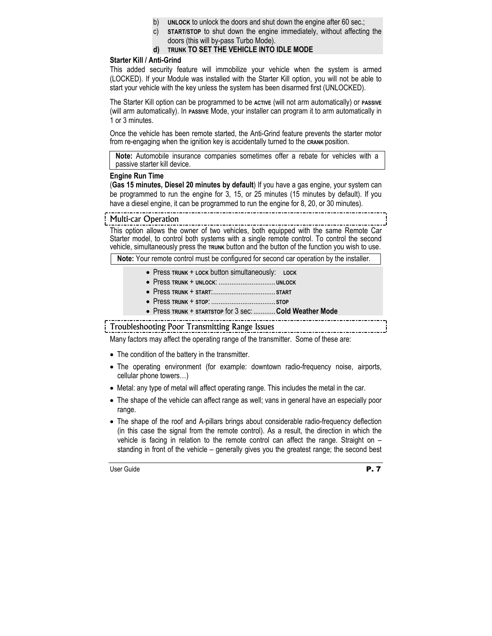- b) **UNLOCK** to unlock the doors and shut down the engine after 60 sec.;
- c) **START/STOP** to shut down the engine immediately, without affecting the doors (this will by-pass Turbo Mode).

### **d) TRUNK TO SET THE VEHICLE INTO IDLE MODE**

### **Starter Kill / Anti-Grind**

This added security feature will immobilize your vehicle when the system is armed (LOCKED). If your Module was installed with the Starter Kill option, you will not be able to start your vehicle with the key unless the system has been disarmed first (UNLOCKED).

The Starter Kill option can be programmed to be **ACTIVE** (will not arm automatically) or **PASSIVE** (will arm automatically). In **PASSIVE** Mode, your installer can program it to arm automatically in 1 or 3 minutes.

Once the vehicle has been remote started, the Anti-Grind feature prevents the starter motor from re-engaging when the ignition key is accidentally turned to the **CRANK** position.

**Note:** Automobile insurance companies sometimes offer a rebate for vehicles with a passive starter kill device.

#### **Engine Run Time**

(**Gas 15 minutes, Diesel 20 minutes by default**) If you have a gas engine, your system can be programmed to run the engine for 3, 15, or 25 minutes (15 minutes by default). If you have a diesel engine, it can be programmed to run the engine for 8, 20, or 30 minutes).

#### Multi-car Operation

This option allows the owner of two vehicles, both equipped with the same Remote Car Starter model, to control both systems with a single remote control. To control the second vehicle, simultaneously press the **TRUNK** button and the button of the function you wish to use.

**Note:** Your remote control must be configured for second car operation by the installer.

- Press **TRUNK** + **LOCK** button simultaneously: **LOCK**
- Press **TRUNK** + **UNLOCK**: ...............................**UNLOCK**
- Press **TRUNK** + **START**:.................................. **START**
- Press **TRUNK** + **STOP**: ................................... **STOP**
- Press **TRUNK** + **STARTSTOP** for 3 sec: ............**Cold Weather Mode**

## Troubleshooting Poor Transmitting Range Issues

Many factors may affect the operating range of the transmitter. Some of these are:

- The condition of the battery in the transmitter.
- The operating environment (for example: downtown radio-frequency noise, airports, cellular phone towers…)
- Metal: any type of metal will affect operating range. This includes the metal in the car.
- The shape of the vehicle can affect range as well; vans in general have an especially poor range.
- The shape of the roof and A-pillars brings about considerable radio-frequency deflection (in this case the signal from the remote control). As a result, the direction in which the vehicle is facing in relation to the remote control can affect the range. Straight on – standing in front of the vehicle – generally gives you the greatest range; the second best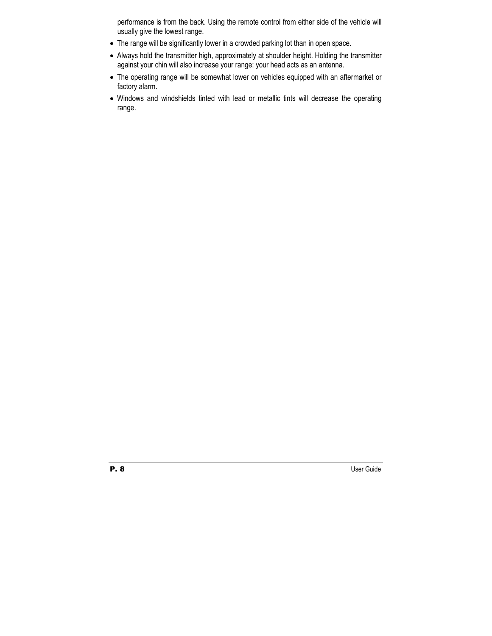performance is from the back. Using the remote control from either side of the vehicle will usually give the lowest range.

- The range will be significantly lower in a crowded parking lot than in open space.
- Always hold the transmitter high, approximately at shoulder height. Holding the transmitter against your chin will also increase your range: your head acts as an antenna.
- The operating range will be somewhat lower on vehicles equipped with an aftermarket or factory alarm.
- Windows and windshields tinted with lead or metallic tints will decrease the operating range.